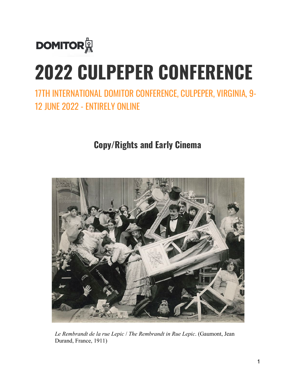

# **2022 CULPEPER CONFERENCE**

17TH INTERNATIONAL DOMITOR CONFERENCE, CULPEPER, VIRGINIA, 9- 12 JUNE 2022 - ENTIRELY ONLINE

**Copy/Rights and Early Cinema**



*Le Rembrandt de la rue Lepic* / *The Rembrandt in Rue Lepic*. (Gaumont, Jean Durand, France, 1911)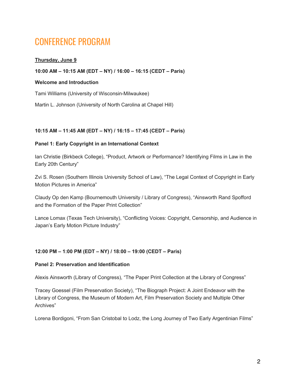# CONFERENCE PROGRAM

# **Thursday, June 9**

#### **10:00 AM – 10:15 AM (EDT – NY) / 16:00 – 16:15 (CEDT – Paris)**

#### **Welcome and Introduction**

Tami Williams (University of Wisconsin-Milwaukee)

Martin L. Johnson (University of North Carolina at Chapel Hill)

#### **10:15 AM – 11:45 AM (EDT – NY) / 16:15 – 17:45 (CEDT – Paris)**

#### **Panel 1: Early Copyright in an International Context**

Ian Christie (Birkbeck College), "Product, Artwork or Performance? Identifying Films in Law in the Early 20th Century"

Zvi S. Rosen (Southern Illinois University School of Law), "The Legal Context of Copyright in Early Motion Pictures in America"

Claudy Op den Kamp (Bournemouth University / Library of Congress), "Ainsworth Rand Spofford and the Formation of the Paper Print Collection"

Lance Lomax (Texas Tech University), "Conflicting Voices: Copyright, Censorship, and Audience in Japan's Early Motion Picture Industry"

#### **12:00 PM – 1:00 PM (EDT – NY) / 18:00 – 19:00 (CEDT – Paris)**

#### **Panel 2: Preservation and Identification**

Alexis Ainsworth (Library of Congress), "The Paper Print Collection at the Library of Congress"

Tracey Goessel (Film Preservation Society), "The Biograph Project: A Joint Endeavor with the Library of Congress, the Museum of Modern Art, Film Preservation Society and Multiple Other Archives"

Lorena Bordigoni, "From San Cristobal to Lodz, the Long Journey of Two Early Argentinian Films"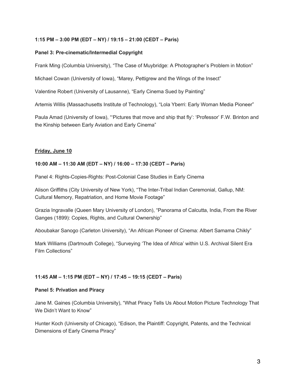# **1:15 PM – 3:00 PM (EDT – NY) / 19:15 – 21:00 (CEDT – Paris)**

# **Panel 3: Pre-cinematic/Intermedial Copyright**

Frank Ming (Columbia University), "The Case of Muybridge: A Photographer's Problem in Motion"

Michael Cowan (University of Iowa), "Marey, Pettigrew and the Wings of the Insect"

Valentine Robert (University of Lausanne), "Early Cinema Sued by Painting"

Artemis Willis (Massachusetts Institute of Technology), "Lola Yberri: Early Woman Media Pioneer"

Paula Amad (University of Iowa), "'Pictures that move and ship that fly': 'Professor' F.W. Brinton and the Kinship between Early Aviation and Early Cinema"

# **Friday, June 10**

#### **10:00 AM – 11:30 AM (EDT – NY) / 16:00 – 17:30 (CEDT – Paris)**

Panel 4: Rights-Copies-Rights: Post-Colonial Case Studies in Early Cinema

Alison Griffiths (City University of New York), "The Inter-Tribal Indian Ceremonial, Gallup, NM: Cultural Memory, Repatriation, and Home Movie Footage"

Grazia Ingravalle (Queen Mary University of London), "Panorama of Calcutta, India, From the River Ganges (1899): Copies, Rights, and Cultural Ownership"

Aboubakar Sanogo (Carleton University), "An African Pioneer of Cinema: Albert Samama Chikly"

Mark Williams (Dartmouth College), "Surveying 'The Idea of Africa' within U.S. Archival Silent Era Film Collections"

# **11:45 AM – 1:15 PM (EDT – NY) / 17:45 – 19:15 (CEDT – Paris)**

#### **Panel 5: Privation and Piracy**

Jane M. Gaines (Columbia University), "What Piracy Tells Us About Motion Picture Technology That We Didn't Want to Know"

Hunter Koch (University of Chicago), "Edison, the Plaintiff: Copyright, Patents, and the Technical Dimensions of Early Cinema Piracy"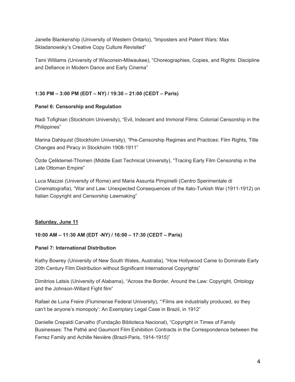Janelle Blankenship (University of Western Ontario), "Imposters and Patent Wars: Max Skladanowsky's Creative Copy Culture Revisited"

Tami Williams (University of Wisconsin-Milwaukee), "Choreographies, Copies, and Rights: Discipline and Defiance in Modern Dance and Early Cinema"

# **1:30 PM – 3:00 PM (EDT – NY) / 19:30 – 21:00 (CEDT – Paris)**

# **Panel 6: Censorship and Regulation**

Nadi Tofighian (Stockholm University), "Evil, Indecent and Immoral Films: Colonial Censorship in the Philippines"

Marina Dahlquist (Stockholm University), "Pre-Censorship Regimes and Practices: Film Rights, Title Changes and Piracy in Stockholm 1908-1911"

Özde Çeliktemel-Thomen (Middle East Technical University), "Tracing Early Film Censorship in the Late Ottoman Empire"

Luca Mazzei (University of Rome) and Maria Assunta Pimpinelli (Centro Sperimentale di Cinematografia), "War and Law: Unexpected Consequences of the Italo-Turkish War (1911-1912) on Italian Copyright and Censorship Lawmaking"

# **Saturday, June 11**

# **10:00 AM – 11:30 AM (EDT -NY) / 16:00 – 17:30 (CEDT – Paris)**

# **Panel 7: International Distribution**

Kathy Bowrey (University of New South Wales, Australia), "How Hollywood Came to Dominate Early 20th Century Film Distribution without Significant International Copyrights"

Dimitrios Latsis (University of Alabama), "Across the Border, Around the Law: Copyright, Ontology and the Johnson-Willard Fight film"

Rafael de Luna Freire (Fluminense Federal University), "'Films are industrially produced, so they can't be anyone's monopoly': An Exemplary Legal Case in Brazil, in 1912"

Danielle Crepaldi Carvalho (Fundação Biblioteca Nacional), "Copyright in Times of Family Businesses: The Pathé and Gaumont Film Exhibition Contracts in the Correspondence between the Ferrez Family and Achille Nevière (Brazil-Paris, 1914-1915)"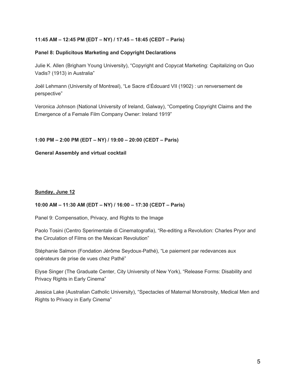# **11:45 AM – 12:45 PM (EDT – NY) / 17:45 – 18:45 (CEDT – Paris)**

#### **Panel 8: Duplicitous Marketing and Copyright Declarations**

Julie K. Allen (Brigham Young University), "Copyright and Copycat Marketing: Capitalizing on Quo Vadis? (1913) in Australia"

Joël Lehmann (University of Montreal), "Le Sacre d'Édouard VII (1902) : un renversement de perspective"

Veronica Johnson (National University of Ireland, Galway), "Competing Copyright Claims and the Emergence of a Female Film Company Owner: Ireland 1919"

#### **1:00 PM – 2:00 PM (EDT – NY) / 19:00 – 20:00 (CEDT – Paris)**

#### **General Assembly and virtual cocktail**

#### **Sunday, June 12**

# **10:00 AM – 11:30 AM (EDT – NY) / 16:00 – 17:30 (CEDT – Paris)**

Panel 9: Compensation, Privacy, and Rights to the Image

Paolo Tosini (Centro Sperimentale di Cinematografia), "Re-editing a Revolution: Charles Pryor and the Circulation of Films on the Mexican Revolution"

Stéphanie Salmon (Fondation Jérôme Seydoux-Pathé), "Le paiement par redevances aux opérateurs de prise de vues chez Pathé"

Elyse Singer (The Graduate Center, City University of New York), "Release Forms: Disability and Privacy Rights in Early Cinema"

Jessica Lake (Australian Catholic University), "Spectacles of Maternal Monstrosity, Medical Men and Rights to Privacy in Early Cinema"